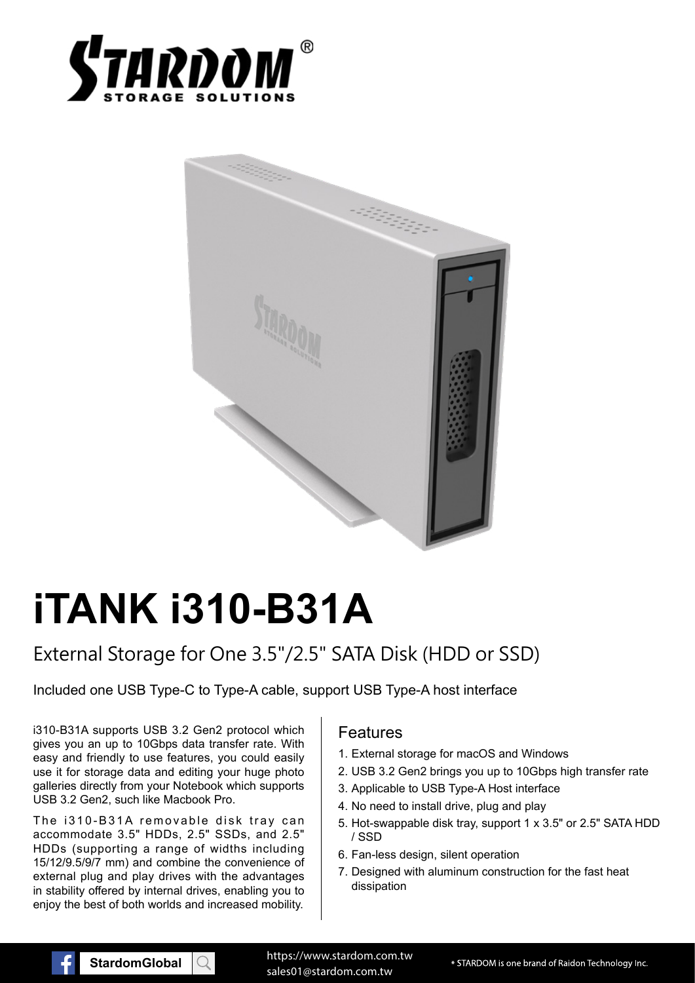



# **iTANK i310-B31A**

# External Storage for One 3.5"/2.5" SATA Disk (HDD or SSD)

Included one USB Type-C to Type-A cable, support USB Type-A host interface

i310-B31A supports USB 3.2 Gen2 protocol which gives you an up to 10Gbps data transfer rate. With easy and friendly to use features, you could easily use it for storage data and editing your huge photo galleries directly from your Notebook which supports USB 3.2 Gen2, such like Macbook Pro.

The i310-B31A removable disk tray can accommodate 3.5" HDDs, 2.5" SSDs, and 2.5" HDDs (supporting a range of widths including 15/12/9.5/9/7 mm) and combine the convenience of external plug and play drives with the advantages in stability offered by internal drives, enabling you to enjoy the best of both worlds and increased mobility.

### Features

- 1. External storage for macOS and Windows
- 2. USB 3.2 Gen2 brings you up to 10Gbps high transfer rate
- 3. Applicable to USB Type-A Host interface
- 4. No need to install drive, plug and play
- 5. Hot-swappable disk tray, support 1 x 3.5" or 2.5" SATA HDD / SSD
- 6. Fan-less design, silent operation
- 7. Designed with aluminum construction for the fast heat dissipation

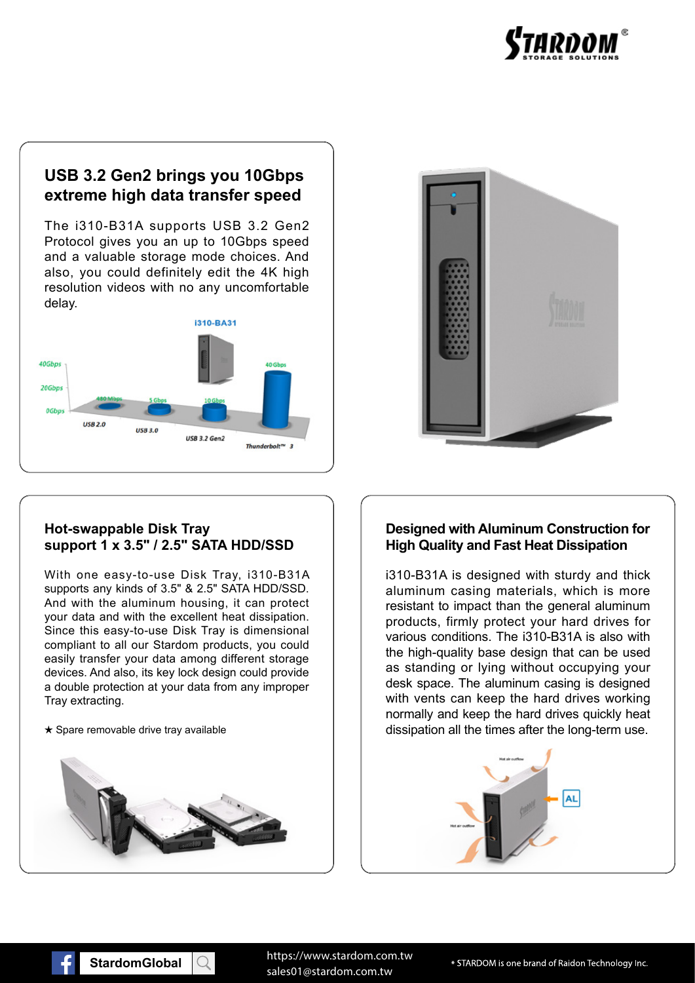

## **USB 3.2 Gen2 brings you 10Gbps extreme high data transfer speed**

The i310-B31A supports USB 3.2 Gen2 Protocol gives you an up to 10Gbps speed and a valuable storage mode choices. And also, you could definitely edit the 4K high resolution videos with no any uncomfortable delay.



## **Hot-swappable Disk Tray support 1 x 3.5" / 2.5" SATA HDD/SSD**

With one easy-to-use Disk Tray, i310-B31A supports any kinds of 3.5" & 2.5" SATA HDD/SSD. And with the aluminum housing, it can protect your data and with the excellent heat dissipation. Since this easy-to-use Disk Tray is dimensional compliant to all our Stardom products, you could easily transfer your data among different storage devices. And also, its key lock design could provide a double protection at your data from any improper Tray extracting.





### **Designed with Aluminum Construction for High Quality and Fast Heat Dissipation**

i310-B31A is designed with sturdy and thick aluminum casing materials, which is more resistant to impact than the general aluminum products, firmly protect your hard drives for various conditions. The i310-B31A is also with the high-quality base design that can be used as standing or lying without occupying your desk space. The aluminum casing is designed with vents can keep the hard drives working normally and keep the hard drives quickly heat  $\star$  Spare removable drive tray available dissection all the times after the long-term use.



**StardomGlobal StardomGlobal** sales01@stardom.com.tw https://www.stardom.com.tw